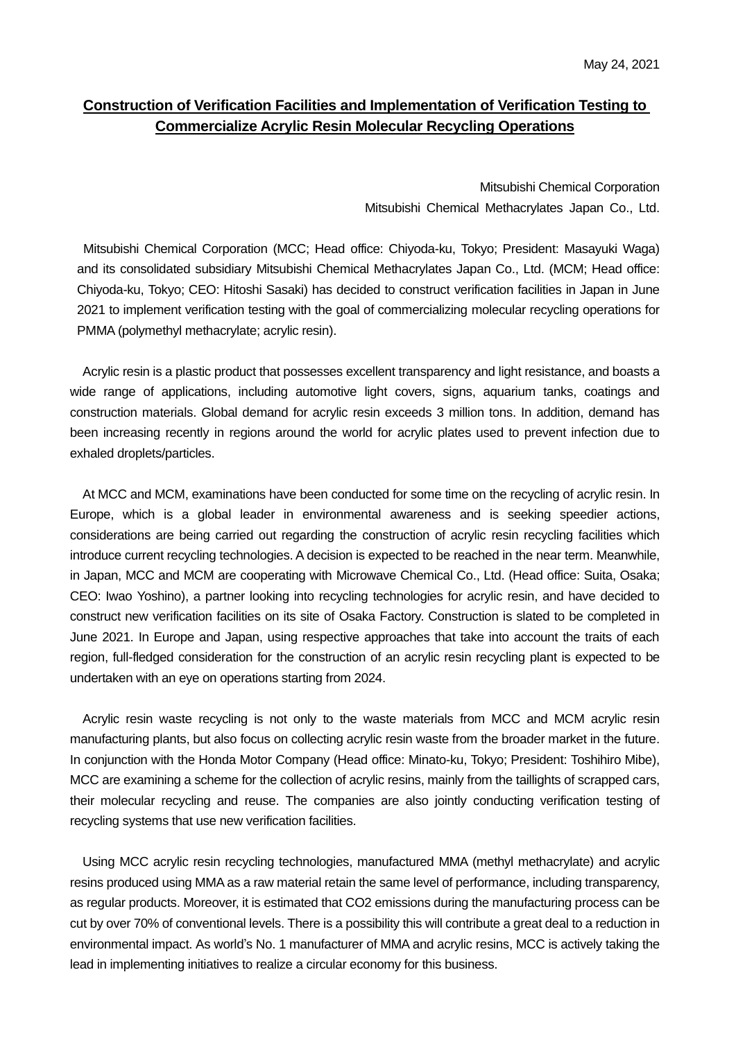## **Construction of Verification Facilities and Implementation of Verification Testing to Commercialize Acrylic Resin Molecular Recycling Operations**

Mitsubishi Chemical Corporation Mitsubishi Chemical Methacrylates Japan Co., Ltd.

Mitsubishi Chemical Corporation (MCC; Head office: Chiyoda-ku, Tokyo; President: Masayuki Waga) and its consolidated subsidiary Mitsubishi Chemical Methacrylates Japan Co., Ltd. (MCM; Head office: Chiyoda-ku, Tokyo; CEO: Hitoshi Sasaki) has decided to construct verification facilities in Japan in June 2021 to implement verification testing with the goal of commercializing molecular recycling operations for PMMA (polymethyl methacrylate; acrylic resin).

Acrylic resin is a plastic product that possesses excellent transparency and light resistance, and boasts a wide range of applications, including automotive light covers, signs, aquarium tanks, coatings and construction materials. Global demand for acrylic resin exceeds 3 million tons. In addition, demand has been increasing recently in regions around the world for acrylic plates used to prevent infection due to exhaled droplets/particles.

At MCC and MCM, examinations have been conducted for some time on the recycling of acrylic resin. In Europe, which is a global leader in environmental awareness and is seeking speedier actions, considerations are being carried out regarding the construction of acrylic resin recycling facilities which introduce current recycling technologies. A decision is expected to be reached in the near term. Meanwhile, in Japan, MCC and MCM are cooperating with Microwave Chemical Co., Ltd. (Head office: Suita, Osaka; CEO: Iwao Yoshino), a partner looking into recycling technologies for acrylic resin, and have decided to construct new verification facilities on its site of Osaka Factory. Construction is slated to be completed in June 2021. In Europe and Japan, using respective approaches that take into account the traits of each region, full-fledged consideration for the construction of an acrylic resin recycling plant is expected to be undertaken with an eye on operations starting from 2024.

Acrylic resin waste recycling is not only to the waste materials from MCC and MCM acrylic resin manufacturing plants, but also focus on collecting acrylic resin waste from the broader market in the future. In conjunction with the Honda Motor Company (Head office: Minato-ku, Tokyo; President: Toshihiro Mibe), MCC are examining a scheme for the collection of acrylic resins, mainly from the taillights of scrapped cars, their molecular recycling and reuse. The companies are also jointly conducting verification testing of recycling systems that use new verification facilities.

Using MCC acrylic resin recycling technologies, manufactured MMA (methyl methacrylate) and acrylic resins produced using MMA as a raw material retain the same level of performance, including transparency, as regular products. Moreover, it is estimated that CO2 emissions during the manufacturing process can be cut by over 70% of conventional levels. There is a possibility this will contribute a great deal to a reduction in environmental impact. As world's No. 1 manufacturer of MMA and acrylic resins, MCC is actively taking the lead in implementing initiatives to realize a circular economy for this business.